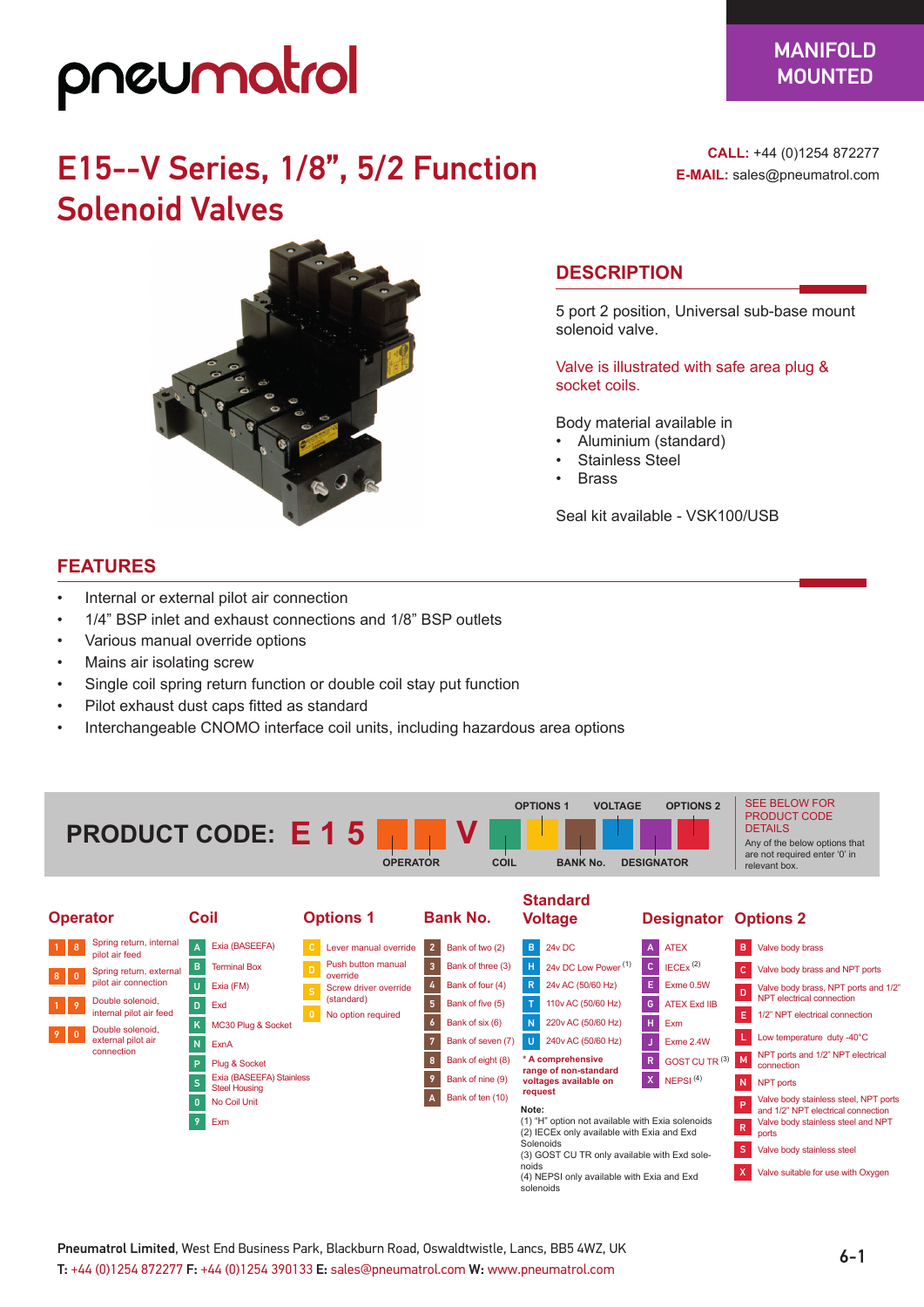## pneumatrol

### E15--V Series, 1/8", 5/2 Function Solenoid Valves



**CALL:** +44 (0)1254 872277 **E-MAIL:** sales@pneumatrol.com

### **DESCRIPTION**

5 port 2 position, Universal sub-base mount solenoid valve.

Valve is illustrated with safe area plug & socket coils.

Body material available in

- Aluminium (standard)
- Stainless Steel
- **Brass**

Seal kit available - VSK100/USB

#### **FEATURES**

- Internal or external pilot air connection
- 1/4" BSP inlet and exhaust connections and 1/8" BSP outlets
- Various manual override options
- Mains air isolating screw
- Single coil spring return function or double coil stay put function
- Pilot exhaust dust caps fitted as standard
- Interchangeable CNOMO interface coil units, including hazardous area options



6-1 Pneumatrol Limited, West End Business Park, Blackburn Road, Oswaldtwistle, Lancs, BB5 4WZ, UK T: +44 (0)1254 872277 F: +44 (0)1254 390133 E: sales@pneumatrol.com W: www.pneumatrol.com